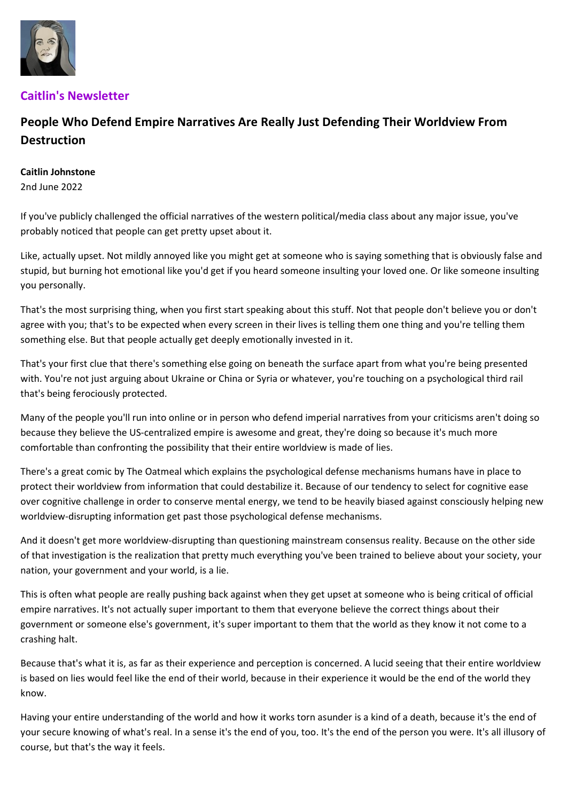

## Caitlin's Newsletter

## People Who Defend Empire Narratives Are Really Just Defending Their Worldview From Destruction

## Caitlin Johnstone

2nd June 2022

If you've publicly challenged the official narratives of the western political/media class about any major issue, you've probably noticed that people can get pretty upset about it.

Like, actually upset. Not mildly annoyed like you might get at someone who is saying something that is obviously false and stupid, but burning hot emotional like you'd get if you heard someone insulting your loved one. Or like someone insulting you personally.

That's the most surprising thing, when you first start speaking about this stuff. Not that people don't believe you or don't agree with you; that's to be expected when every screen in their lives is telling them one thing and you're telling them something else. But that people actually get deeply emotionally invested in it.

That's your first clue that there's something else going on beneath the surface apart from what you're being presented with. You're not just arguing about Ukraine or China or Syria or whatever, you're touching on a psychological third rail that's being ferociously protected.

Many of the people you'll run into online or in person who defend imperial narratives from your criticisms aren't doing so because they believe the US-centralized empire is awesome and great, they're doing so because it's much more comfortable than confronting the possibility that their entire worldview is made of lies.

There's a great comic by The Oatmeal which explains the psychological defense mechanisms humans have in place to protect their worldview from information that could destabilize it. Because of our tendency to select for cognitive ease over cognitive challenge in order to conserve mental energy, we tend to be heavily biased against consciously helping new worldview-disrupting information get past those psychological defense mechanisms.

And it doesn't get more worldview-disrupting than questioning mainstream consensus reality. Because on the other side of that investigation is the realization that pretty much everything you've been trained to believe about your society, your nation, your government and your world, is a lie.

This is often what people are really pushing back against when they get upset at someone who is being critical of official empire narratives. It's not actually super important to them that everyone believe the correct things about their government or someone else's government, it's super important to them that the world as they know it not come to a crashing halt.

Because that's what it is, as far as their experience and perception is concerned. A lucid seeing that their entire worldview is based on lies would feel like the end of their world, because in their experience it would be the end of the world they know.

Having your entire understanding of the world and how it works torn asunder is a kind of a death, because it's the end of your secure knowing of what's real. In a sense it's the end of you, too. It's the end of the person you were. It's all illusory of course, but that's the way it feels.